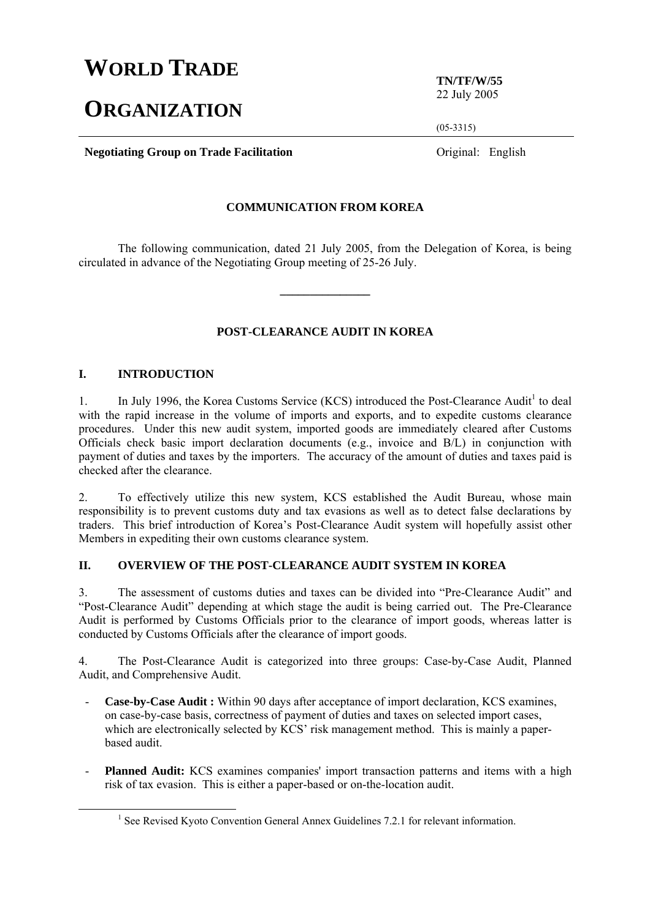# **WORLD TRADE**

# **ORGANIZATION**

**TN/TF/W/55**  22 July 2005

(05-3315)

**Negotiating Group on Trade Facilitation Constanting Constanting Group on Trade Facilitation Constanting Constanting Constanting Constanting Constanting Constanting Constanting Constanting Constanting Constanting Const** 

## **COMMUNICATION FROM KOREA**

 The following communication, dated 21 July 2005, from the Delegation of Korea, is being circulated in advance of the Negotiating Group meeting of 25-26 July.

**\_\_\_\_\_\_\_\_\_\_\_\_\_\_\_** 

# **POST-CLEARANCE AUDIT IN KOREA**

#### **I. INTRODUCTION**

1. In July 1996, the Korea Customs Service (KCS) introduced the Post-Clearance Audit<sup>1</sup> to deal with the rapid increase in the volume of imports and exports, and to expedite customs clearance procedures. Under this new audit system, imported goods are immediately cleared after Customs Officials check basic import declaration documents (e.g., invoice and B/L) in conjunction with payment of duties and taxes by the importers. The accuracy of the amount of duties and taxes paid is checked after the clearance.

2. To effectively utilize this new system, KCS established the Audit Bureau, whose main responsibility is to prevent customs duty and tax evasions as well as to detect false declarations by traders. This brief introduction of Korea's Post-Clearance Audit system will hopefully assist other Members in expediting their own customs clearance system.

## **II. OVERVIEW OF THE POST-CLEARANCE AUDIT SYSTEM IN KOREA**

3. The assessment of customs duties and taxes can be divided into "Pre-Clearance Audit" and "Post-Clearance Audit" depending at which stage the audit is being carried out. The Pre-Clearance Audit is performed by Customs Officials prior to the clearance of import goods, whereas latter is conducted by Customs Officials after the clearance of import goods.

4. The Post-Clearance Audit is categorized into three groups: Case-by-Case Audit, Planned Audit, and Comprehensive Audit.

- **Case-by-Case Audit :** Within 90 days after acceptance of import declaration, KCS examines, on case-by-case basis, correctness of payment of duties and taxes on selected import cases, which are electronically selected by KCS' risk management method. This is mainly a paperbased audit.
- Planned Audit: KCS examines companies' import transaction patterns and items with a high risk of tax evasion. This is either a paper-based or on-the-location audit.

<sup>1&</sup>lt;sup>1</sup> <sup>1</sup> See Revised Kyoto Convention General Annex Guidelines 7.2.1 for relevant information.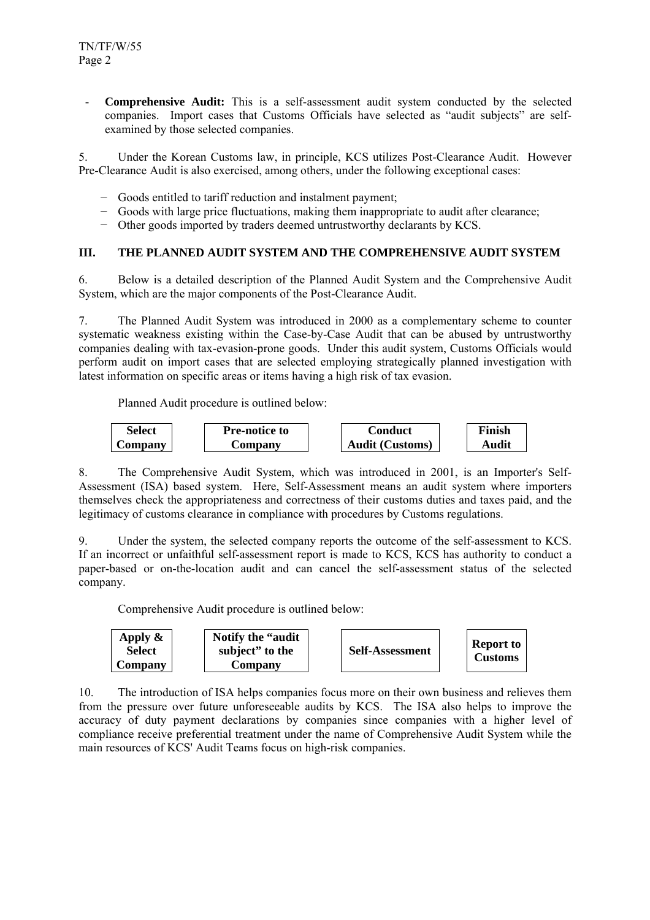- **Comprehensive Audit:** This is a self-assessment audit system conducted by the selected companies. Import cases that Customs Officials have selected as "audit subjects" are selfexamined by those selected companies.

5. Under the Korean Customs law, in principle, KCS utilizes Post-Clearance Audit. However Pre-Clearance Audit is also exercised, among others, under the following exceptional cases:

- − Goods entitled to tariff reduction and instalment payment;
- − Goods with large price fluctuations, making them inappropriate to audit after clearance;
- − Other goods imported by traders deemed untrustworthy declarants by KCS.

## **III. THE PLANNED AUDIT SYSTEM AND THE COMPREHENSIVE AUDIT SYSTEM**

6. Below is a detailed description of the Planned Audit System and the Comprehensive Audit System, which are the major components of the Post-Clearance Audit.

7. The Planned Audit System was introduced in 2000 as a complementary scheme to counter systematic weakness existing within the Case-by-Case Audit that can be abused by untrustworthy companies dealing with tax-evasion-prone goods. Under this audit system, Customs Officials would perform audit on import cases that are selected employing strategically planned investigation with latest information on specific areas or items having a high risk of tax evasion.

Planned Audit procedure is outlined below:



8. The Comprehensive Audit System, which was introduced in 2001, is an Importer's Self-Assessment (ISA) based system. Here, Self-Assessment means an audit system where importers themselves check the appropriateness and correctness of their customs duties and taxes paid, and the legitimacy of customs clearance in compliance with procedures by Customs regulations.

9. Under the system, the selected company reports the outcome of the self-assessment to KCS. If an incorrect or unfaithful self-assessment report is made to KCS, KCS has authority to conduct a paper-based or on-the-location audit and can cancel the self-assessment status of the selected company.

Comprehensive Audit procedure is outlined below:



10. The introduction of ISA helps companies focus more on their own business and relieves them from the pressure over future unforeseeable audits by KCS. The ISA also helps to improve the accuracy of duty payment declarations by companies since companies with a higher level of compliance receive preferential treatment under the name of Comprehensive Audit System while the main resources of KCS' Audit Teams focus on high-risk companies.